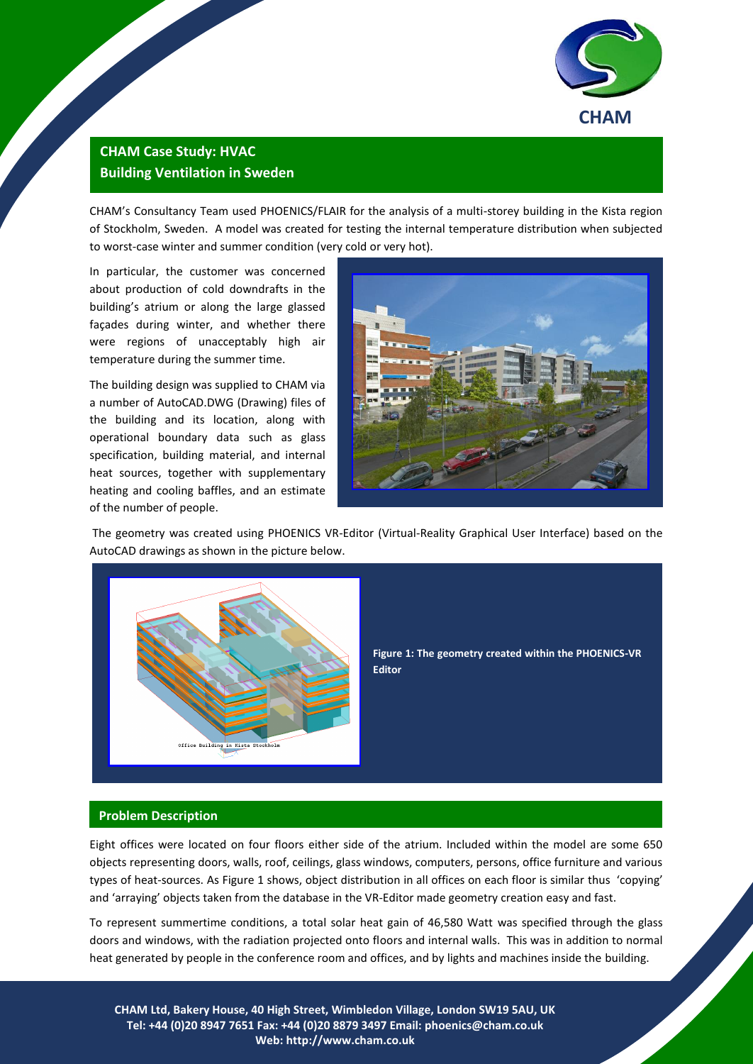

## **CHAM Case Study: HVAC Building Ventilation in Sweden**

CHAM's Consultancy Team used PHOENICS/FLAIR for the analysis of a multi-storey building in the Kista region of Stockholm, Sweden. A model was created for testing the internal temperature distribution when subjected to worst-case winter and summer condition (very cold or very hot).

In particular, the customer was concerned about production of cold downdrafts in the building's atrium or along the large glassed façades during winter, and whether there were regions of unacceptably high air temperature during the summer time.

The building design was supplied to CHAM via a number of AutoCAD.DWG (Drawing) files of the building and its location, along with operational boundary data such as glass specification, building material, and internal heat sources, together with supplementary heating and cooling baffles, and an estimate of the number of people.



The geometry was created using PHOENICS VR-Editor (Virtual-Reality Graphical User Interface) based on the AutoCAD drawings as shown in the picture below.



**Figure 1: The geometry created within the PHOENICS-VR Editor**

## **Problem Description**

Eight offices were located on four floors either side of the atrium. Included within the model are some 650 objects representing doors, walls, roof, ceilings, glass windows, computers, persons, office furniture and various types of heat-sources. As Figure 1 shows, object distribution in all offices on each floor is similar thus 'copying' and 'arraying' objects taken from the database in the VR-Editor made geometry creation easy and fast.

To represent summertime conditions, a total solar heat gain of 46,580 Watt was specified through the glass doors and windows, with the radiation projected onto floors and internal walls. This was in addition to normal heat generated by people in the conference room and offices, and by lights and machines inside the building.

**CHAM Ltd, Bakery House, 40 High Street, Wimbledon Village, London SW19 5AU, UK Tel: +44 (0)20 8947 7651 Fax: +44 (0)20 8879 3497 Email: [phoenics@cham.co.uk](mailto:phoenics@cham.co.uk) Web: http://www.cham.co.uk**